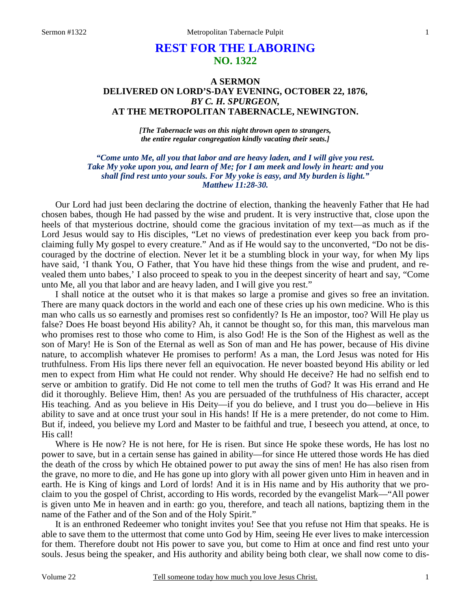# **REST FOR THE LABORING NO. 1322**

### **A SERMON DELIVERED ON LORD'S-DAY EVENING, OCTOBER 22, 1876,**  *BY C. H. SPURGEON,*  **AT THE METROPOLITAN TABERNACLE, NEWINGTON.**

*[The Tabernacle was on this night thrown open to strangers, the entire regular congregation kindly vacating their seats.]* 

*"Come unto Me, all you that labor and are heavy laden, and I will give you rest. Take My yoke upon you, and learn of Me; for I am meek and lowly in heart: and you shall find rest unto your souls. For My yoke is easy, and My burden is light." Matthew 11:28-30.* 

 Our Lord had just been declaring the doctrine of election, thanking the heavenly Father that He had chosen babes, though He had passed by the wise and prudent. It is very instructive that, close upon the heels of that mysterious doctrine, should come the gracious invitation of my text—as much as if the Lord Jesus would say to His disciples, "Let no views of predestination ever keep you back from proclaiming fully My gospel to every creature." And as if He would say to the unconverted, "Do not be discouraged by the doctrine of election. Never let it be a stumbling block in your way, for when My lips have said, 'I thank You, O Father, that You have hid these things from the wise and prudent, and revealed them unto babes,' I also proceed to speak to you in the deepest sincerity of heart and say, "Come unto Me, all you that labor and are heavy laden, and I will give you rest."

 I shall notice at the outset who it is that makes so large a promise and gives so free an invitation. There are many quack doctors in the world and each one of these cries up his own medicine. Who is this man who calls us so earnestly and promises rest so confidently? Is He an impostor, too? Will He play us false? Does He boast beyond His ability? Ah, it cannot be thought so, for this man, this marvelous man who promises rest to those who come to Him, is also God! He is the Son of the Highest as well as the son of Mary! He is Son of the Eternal as well as Son of man and He has power, because of His divine nature, to accomplish whatever He promises to perform! As a man, the Lord Jesus was noted for His truthfulness. From His lips there never fell an equivocation. He never boasted beyond His ability or led men to expect from Him what He could not render. Why should He deceive? He had no selfish end to serve or ambition to gratify. Did He not come to tell men the truths of God? It was His errand and He did it thoroughly. Believe Him, then! As you are persuaded of the truthfulness of His character, accept His teaching. And as you believe in His Deity—if you do believe, and I trust you do—believe in His ability to save and at once trust your soul in His hands! If He is a mere pretender, do not come to Him. But if, indeed, you believe my Lord and Master to be faithful and true, I beseech you attend, at once, to His call!

 Where is He now? He is not here, for He is risen. But since He spoke these words, He has lost no power to save, but in a certain sense has gained in ability—for since He uttered those words He has died the death of the cross by which He obtained power to put away the sins of men! He has also risen from the grave, no more to die, and He has gone up into glory with all power given unto Him in heaven and in earth. He is King of kings and Lord of lords! And it is in His name and by His authority that we proclaim to you the gospel of Christ, according to His words, recorded by the evangelist Mark—"All power is given unto Me in heaven and in earth: go you, therefore, and teach all nations, baptizing them in the name of the Father and of the Son and of the Holy Spirit."

 It is an enthroned Redeemer who tonight invites you! See that you refuse not Him that speaks. He is able to save them to the uttermost that come unto God by Him, seeing He ever lives to make intercession for them. Therefore doubt not His power to save you, but come to Him at once and find rest unto your souls. Jesus being the speaker, and His authority and ability being both clear, we shall now come to dis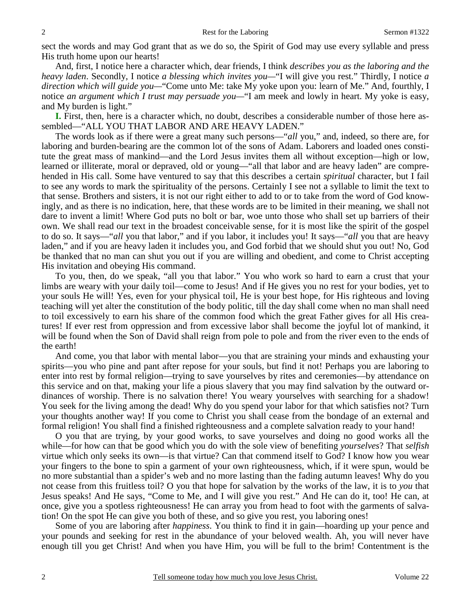sect the words and may God grant that as we do so, the Spirit of God may use every syllable and press His truth home upon our hearts!

 And, first, I notice here a character which, dear friends, I think *describes you as the laboring and the heavy laden*. Secondly, I notice *a blessing which invites you—*"I will give you rest." Thirdly, I notice *a direction which will guide you—*"Come unto Me: take My yoke upon you: learn of Me." And, fourthly, I notice *an argument which I trust may persuade you—*"I am meek and lowly in heart. My yoke is easy, and My burden is light."

**I.** First, then, here is a character which, no doubt, describes a considerable number of those here assembled—"ALL YOU THAT LABOR AND ARE HEAVY LADEN."

 The words look as if there were a great many such persons—"*all* you," and, indeed, so there are, for laboring and burden-bearing are the common lot of the sons of Adam. Laborers and loaded ones constitute the great mass of mankind—and the Lord Jesus invites them all without exception—high or low, learned or illiterate, moral or depraved, old or young—"all that labor and are heavy laden" are comprehended in His call. Some have ventured to say that this describes a certain *spiritual* character, but I fail to see any words to mark the spirituality of the persons. Certainly I see not a syllable to limit the text to that sense. Brothers and sisters, it is not our right either to add to or to take from the word of God knowingly, and as there is no indication, here, that these words are to be limited in their meaning, we shall not dare to invent a limit! Where God puts no bolt or bar, woe unto those who shall set up barriers of their own. We shall read our text in the broadest conceivable sense, for it is most like the spirit of the gospel to do so. It says—"*all* you that labor," and if you labor, it includes you! It says—"*all* you that are heavy laden," and if you are heavy laden it includes you, and God forbid that we should shut you out! No, God be thanked that no man can shut you out if you are willing and obedient, and come to Christ accepting His invitation and obeying His command.

 To you, then, do we speak, "all you that labor." You who work so hard to earn a crust that your limbs are weary with your daily toil—come to Jesus! And if He gives you no rest for your bodies, yet to your souls He will! Yes, even for your physical toil, He is your best hope, for His righteous and loving teaching will yet alter the constitution of the body politic, till the day shall come when no man shall need to toil excessively to earn his share of the common food which the great Father gives for all His creatures! If ever rest from oppression and from excessive labor shall become the joyful lot of mankind, it will be found when the Son of David shall reign from pole to pole and from the river even to the ends of the earth!

 And come, you that labor with mental labor—you that are straining your minds and exhausting your spirits—you who pine and pant after repose for your souls, but find it not! Perhaps you are laboring to enter into rest by formal religion—trying to save yourselves by rites and ceremonies—by attendance on this service and on that, making your life a pious slavery that you may find salvation by the outward ordinances of worship. There is no salvation there! You weary yourselves with searching for a shadow! You seek for the living among the dead! Why do you spend your labor for that which satisfies not? Turn your thoughts another way! If you come to Christ you shall cease from the bondage of an external and formal religion! You shall find a finished righteousness and a complete salvation ready to your hand!

 O you that are trying, by your good works, to save yourselves and doing no good works all the while—for how can that be good which you do with the sole view of benefiting *yourselves*? That *selfish* virtue which only seeks its own—is that virtue? Can that commend itself to God? I know how you wear your fingers to the bone to spin a garment of your own righteousness, which, if it were spun, would be no more substantial than a spider's web and no more lasting than the fading autumn leaves! Why do you not cease from this fruitless toil? O you that hope for salvation by the works of the law, it is to *you* that Jesus speaks! And He says, "Come to Me, and I will give you rest." And He can do it, too! He can, at once, give you a spotless righteousness! He can array you from head to foot with the garments of salvation! On the spot He can give you both of these, and so give you rest, you laboring ones!

 Some of you are laboring after *happiness*. You think to find it in gain—hoarding up your pence and your pounds and seeking for rest in the abundance of your beloved wealth. Ah, you will never have enough till you get Christ! And when you have Him, you will be full to the brim! Contentment is the

2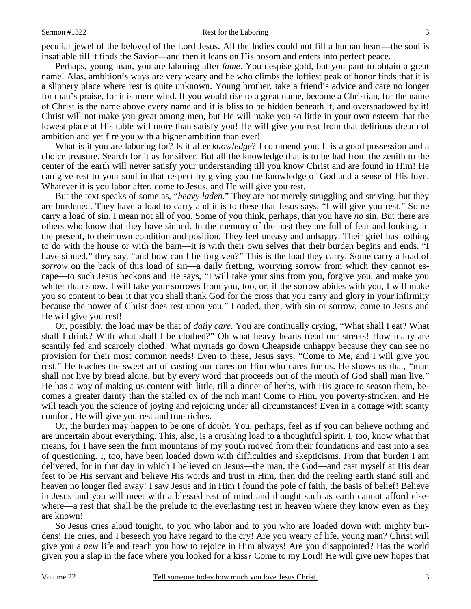peculiar jewel of the beloved of the Lord Jesus. All the Indies could not fill a human heart—the soul is insatiable till it finds the Savior—and then it leans on His bosom and enters into perfect peace.

 Perhaps, young man, you are laboring after *fame*. You despise gold, but you pant to obtain a great name! Alas, ambition's ways are very weary and he who climbs the loftiest peak of honor finds that it is a slippery place where rest is quite unknown. Young brother, take a friend's advice and care no longer for man's praise, for it is mere wind. If you would rise to a great name, become a Christian, for the name of Christ is the name above every name and it is bliss to be hidden beneath it, and overshadowed by it! Christ will not make you great among men, but He will make you so little in your own esteem that the lowest place at His table will more than satisfy you! He will give you rest from that delirious dream of ambition and yet fire you with a higher ambition than ever!

 What is it you are laboring for? Is it after *knowledge*? I commend you. It is a good possession and a choice treasure. Search for it as for silver. But all the knowledge that is to be had from the zenith to the center of the earth will never satisfy your understanding till you know Christ and are found in Him! He can give rest to your soul in that respect by giving you the knowledge of God and a sense of His love. Whatever it is you labor after, come to Jesus, and He will give you rest.

 But the text speaks of some as, "*heavy laden*." They are not merely struggling and striving, but they are burdened. They have a load to carry and it is to these that Jesus says, "I will give you rest." Some carry a load of sin. I mean not all of you. Some of you think, perhaps, that you have *no* sin. But there are others who know that they have sinned. In the memory of the past they are full of fear and looking, in the present, to their own condition and position. They feel uneasy and unhappy. Their grief has nothing to do with the house or with the barn—it is with their own selves that their burden begins and ends. "I have sinned," they say, "and how can I be forgiven?" This is the load they carry. Some carry a load of *sorrow* on the back of this load of sin—a daily fretting, worrying sorrow from which they cannot escape—to such Jesus beckons and He says, "I will take your sins from you, forgive you, and make you whiter than snow. I will take your sorrows from you, too, or, if the sorrow abides with you, I will make you so content to bear it that you shall thank God for the cross that you carry and glory in your infirmity because the power of Christ does rest upon you." Loaded, then, with sin or sorrow, come to Jesus and He will give you rest!

 Or, possibly, the load may be that of *daily care*. You are continually crying, "What shall I eat? What shall I drink? With what shall I be clothed?" Oh what heavy hearts tread our streets! How many are scantily fed and scarcely clothed! What myriads go down Cheapside unhappy because they can see no provision for their most common needs! Even to these, Jesus says, "Come to Me, and I will give you rest." He teaches the sweet art of casting our cares on Him who cares for us. He shows us that, "man shall not live by bread alone, but by every word that proceeds out of the mouth of God shall man live." He has a way of making us content with little, till a dinner of herbs, with His grace to season them, becomes a greater dainty than the stalled ox of the rich man! Come to Him, you poverty-stricken, and He will teach you the science of joying and rejoicing under all circumstances! Even in a cottage with scanty comfort, He will give you rest and true riches.

 Or, the burden may happen to be one of *doubt*. You, perhaps, feel as if you can believe nothing and are uncertain about everything. This, also, is a crushing load to a thoughtful spirit. I, too, know what that means, for I have seen the firm mountains of my youth moved from their foundations and cast into a sea of questioning. I, too, have been loaded down with difficulties and skepticisms. From that burden I am delivered, for in that day in which I believed on Jesus—the man, the God—and cast myself at His dear feet to be His servant and believe His words and trust in Him, then did the reeling earth stand still and heaven no longer fled away! I saw Jesus and in Him I found the pole of faith, the basis of belief! Believe in Jesus and you will meet with a blessed rest of mind and thought such as earth cannot afford elsewhere—a rest that shall be the prelude to the everlasting rest in heaven where they know even as they are known!

 So Jesus cries aloud tonight, to you who labor and to you who are loaded down with mighty burdens! He cries, and I beseech you have regard to the cry! Are you weary of life, young man? Christ will give you a *new* life and teach you how to rejoice in Him always! Are you disappointed? Has the world given you a slap in the face where you looked for a kiss? Come to my Lord! He will give new hopes that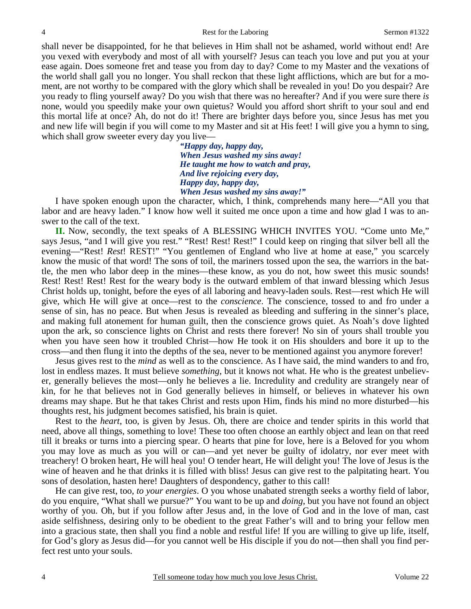shall never be disappointed, for he that believes in Him shall not be ashamed, world without end! Are you vexed with everybody and most of all with yourself? Jesus can teach you love and put you at your ease again. Does someone fret and tease you from day to day? Come to my Master and the vexations of the world shall gall you no longer. You shall reckon that these light afflictions, which are but for a moment, are not worthy to be compared with the glory which shall be revealed in you! Do you despair? Are you ready to fling yourself away? Do you wish that there was no hereafter? And if you were sure there *is* none, would you speedily make your own quietus? Would you afford short shrift to your soul and end this mortal life at once? Ah, do not do it! There are brighter days before you, since Jesus has met you and new life will begin if you will come to my Master and sit at His feet! I will give you a hymn to sing, which shall grow sweeter every day you live—

> *"Happy day, happy day, When Jesus washed my sins away! He taught me how to watch and pray, And live rejoicing every day, Happy day, happy day, When Jesus washed my sins away!"*

I have spoken enough upon the character, which, I think, comprehends many here—"All you that labor and are heavy laden." I know how well it suited me once upon a time and how glad I was to answer to the call of the text.

**II.** Now, secondly, the text speaks of A BLESSING WHICH INVITES YOU. "Come unto Me," says Jesus, "and I will give you rest." "Rest! Rest! Rest!" I could keep on ringing that silver bell all the evening—"Rest! *Rest*! REST!" "You gentlemen of England who live at home at ease," you scarcely know the music of that word! The sons of toil, the mariners tossed upon the sea, the warriors in the battle, the men who labor deep in the mines—these know, as you do not, how sweet this music sounds! Rest! Rest! Rest! Rest for the weary body is the outward emblem of that inward blessing which Jesus Christ holds up, tonight, before the eyes of all laboring and heavy-laden souls. Rest—rest which He will give, which He will give at once—rest to the *conscience*. The conscience, tossed to and fro under a sense of sin, has no peace. But when Jesus is revealed as bleeding and suffering in the sinner's place, and making full atonement for human guilt, then the conscience grows quiet. As Noah's dove lighted upon the ark, so conscience lights on Christ and rests there forever! No sin of yours shall trouble you when you have seen how it troubled Christ—how He took it on His shoulders and bore it up to the cross—and then flung it into the depths of the sea, never to be mentioned against you anymore forever!

 Jesus gives rest to the *mind* as well as to the conscience. As I have said, the mind wanders to and fro, lost in endless mazes. It must believe *something*, but it knows not what. He who is the greatest unbeliever, generally believes the most—only he believes a lie. Incredulity and credulity are strangely near of kin, for he that believes not in God generally believes in himself, or believes in whatever his own dreams may shape. But he that takes Christ and rests upon Him, finds his mind no more disturbed—his thoughts rest, his judgment becomes satisfied, his brain is quiet.

 Rest to the *heart*, too, is given by Jesus. Oh, there are choice and tender spirits in this world that need, above all things, something to love! These too often choose an earthly object and lean on that reed till it breaks or turns into a piercing spear. O hearts that pine for love, here is a Beloved for you whom you may love as much as you will or can—and yet never be guilty of idolatry, nor ever meet with treachery! O broken heart, He will heal you! O tender heart, He will delight you! The love of Jesus is the wine of heaven and he that drinks it is filled with bliss! Jesus can give rest to the palpitating heart. You sons of desolation, hasten here! Daughters of despondency, gather to this call!

 He can give rest, too, *to your energies*. O you whose unabated strength seeks a worthy field of labor, do you enquire, "What shall we pursue?" You want to be up and *doing*, but you have not found an object worthy of you. Oh, but if you follow after Jesus and, in the love of God and in the love of man, cast aside selfishness, desiring only to be obedient to the great Father's will and to bring your fellow men into a gracious state, then shall you find a noble and restful life! If you are willing to give up life, itself, for God's glory as Jesus did—for you cannot well be His disciple if you do not—then shall you find perfect rest unto your souls.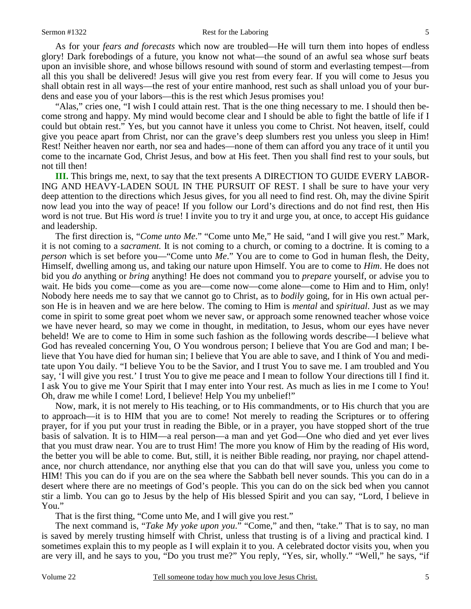#### Sermon #1322 Rest for the Laboring

 As for your *fears and forecasts* which now are troubled—He will turn them into hopes of endless glory! Dark forebodings of a future, you know not what—the sound of an awful sea whose surf beats upon an invisible shore, and whose billows resound with sound of storm and everlasting tempest—from all this you shall be delivered! Jesus will give you rest from every fear. If you will come to Jesus you shall obtain rest in all ways—the rest of your entire manhood, rest such as shall unload you of your burdens and ease you of your labors—this is the rest which Jesus promises you!

 "Alas," cries one, "I wish I could attain rest. That is the one thing necessary to me. I should then become strong and happy. My mind would become clear and I should be able to fight the battle of life if I could but obtain rest." Yes, but you cannot have it unless you come to Christ. Not heaven, itself, could give you peace apart from Christ, nor can the grave's deep slumbers rest you unless you sleep in Him! Rest! Neither heaven nor earth, nor sea and hades—none of them can afford you any trace of it until you come to the incarnate God, Christ Jesus, and bow at His feet. Then you shall find rest to your souls, but not till then!

**III.** This brings me, next, to say that the text presents A DIRECTION TO GUIDE EVERY LABOR-ING AND HEAVY-LADEN SOUL IN THE PURSUIT OF REST. I shall be sure to have your very deep attention to the directions which Jesus gives, for you all need to find rest. Oh, may the divine Spirit now lead you into the way of peace! If you follow our Lord's directions and do not find rest, then His word is not true. But His word *is* true! I invite you to try it and urge you, at once, to accept His guidance and leadership.

 The first direction is, "*Come unto Me*." "Come unto Me," He said, "and I will give you rest." Mark, it is not coming to a *sacrament.* It is not coming to a church, or coming to a doctrine. It is coming to a *person* which is set before you—"Come unto *Me*." You are to come to God in human flesh, the Deity, Himself, dwelling among us, and taking our nature upon Himself. You are to come to *Him*. He does not bid you *do* anything or *bring* anything! He does not command you to *prepare* yourself, or advise you to wait. He bids you come—come as you are—come now—come alone—come to Him and to Him, only! Nobody here needs me to say that we cannot go to Christ, as to *bodily* going, for in His own actual person He is in heaven and we are here below. The coming to Him is *mental* and *spiritual*. Just as we may come in spirit to some great poet whom we never saw, or approach some renowned teacher whose voice we have never heard, so may we come in thought, in meditation, to Jesus, whom our eyes have never beheld! We are to come to Him in some such fashion as the following words describe—I believe what God has revealed concerning You, O You wondrous person; I believe that You are God and man; I believe that You have died for human sin; I believe that You are able to save, and I think of You and meditate upon You daily. "I believe You to be the Savior, and I trust You to save me. I am troubled and You say, 'I will give you rest.' I trust You to give me peace and I mean to follow Your directions till I find it. I ask You to give me Your Spirit that I may enter into Your rest. As much as lies in me I come to You! Oh, draw me while I come! Lord, I believe! Help You my unbelief!"

 Now, mark, it is not merely to His teaching, or to His commandments, or to His church that you are to approach—it is to HIM that you are to come! Not merely to reading the Scriptures or to offering prayer, for if you put your trust in reading the Bible, or in a prayer, you have stopped short of the true basis of salvation. It is to HIM—a real person—a man and yet God—One who died and yet ever lives that you must draw near. You are to trust Him! The more you know of Him by the reading of His word, the better you will be able to come. But, still, it is neither Bible reading, nor praying, nor chapel attendance, nor church attendance, nor anything else that you can do that will save you, unless you come to HIM! This you can do if you are on the sea where the Sabbath bell never sounds. This you can do in a desert where there are no meetings of God's people. This you can do on the sick bed when you cannot stir a limb. You can go to Jesus by the help of His blessed Spirit and you can say, "Lord, I believe in You."

That is the first thing, "Come unto Me, and I will give you rest."

 The next command is, "*Take My yoke upon you*." "Come," and then, "take." That is to say, no man is saved by merely trusting himself with Christ, unless that trusting is of a living and practical kind. I sometimes explain this to my people as I will explain it to you. A celebrated doctor visits you, when you are very ill, and he says to you, "Do you trust me?" You reply, "Yes, sir, wholly." "Well," he says, "if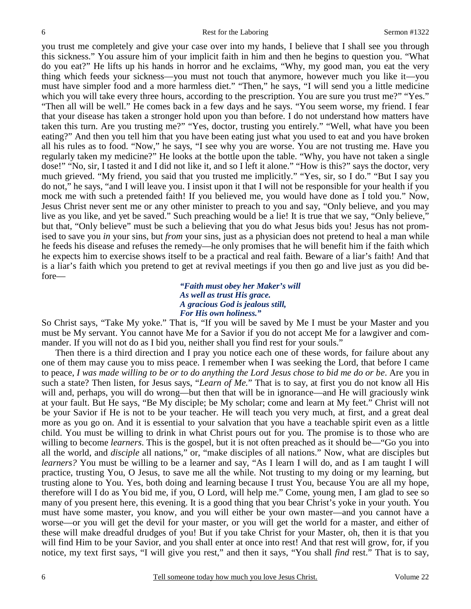you trust me completely and give your case over into my hands, I believe that I shall see you through this sickness." You assure him of your implicit faith in him and then he begins to question you. "What do you eat?" He lifts up his hands in horror and he exclaims, "Why, my good man, you eat the very thing which feeds your sickness—you must not touch that anymore, however much you like it—you must have simpler food and a more harmless diet." "Then," he says, "I will send you a little medicine which you will take every three hours, according to the prescription. You are sure you trust me?" "Yes." "Then all will be well." He comes back in a few days and he says. "You seem worse, my friend. I fear that your disease has taken a stronger hold upon you than before. I do not understand how matters have taken this turn. Are you trusting me?" "Yes, doctor, trusting you entirely." "Well, what have you been eating?" And then you tell him that you have been eating just what you used to eat and you have broken all his rules as to food. "Now," he says, "I see why you are worse. You are not trusting me. Have you regularly taken my medicine?" He looks at the bottle upon the table. "Why, you have not taken a single dose!" "No, sir, I tasted it and I did not like it, and so I left it alone." "How is this?" says the doctor, very much grieved. "My friend, you said that you trusted me implicitly." "Yes, sir, so I do." "But I say you do not," he says, "and I will leave you. I insist upon it that I will not be responsible for your health if you mock me with such a pretended faith! If you believed me, you would have done as I told you." Now, Jesus Christ never sent me or any other minister to preach to you and say, "Only believe, and you may live as you like, and yet be saved." Such preaching would be a lie! It is true that we say, "Only believe," but that, "Only believe" must be such a believing that you do what Jesus bids you! Jesus has not promised to save you *in* your sins, but *from* your sins, just as a physician does not pretend to heal a man while he feeds his disease and refuses the remedy—he only promises that he will benefit him if the faith which he expects him to exercise shows itself to be a practical and real faith. Beware of a liar's faith! And that is a liar's faith which you pretend to get at revival meetings if you then go and live just as you did before—

> *"Faith must obey her Maker's will As well as trust His grace. A gracious God is jealous still, For His own holiness."*

So Christ says, "Take My yoke." That is, "If you will be saved by Me I must be your Master and you must be My servant. You cannot have Me for a Savior if you do not accept Me for a lawgiver and commander. If you will not do as I bid you, neither shall you find rest for your souls."

 Then there is a third direction and I pray you notice each one of these words, for failure about any one of them may cause you to miss peace. I remember when I was seeking the Lord, that before I came to peace, *I was made willing to be or to do anything the Lord Jesus chose to bid me do or be*. Are you in such a state? Then listen, for Jesus says, "*Learn of Me.*" That is to say, at first you do not know all His will and, perhaps, you will do wrong—but then that will be in ignorance—and He will graciously wink at your fault. But He says, "Be My disciple; be My scholar; come and learn at My feet." Christ will not be your Savior if He is not to be your teacher. He will teach you very much, at first, and a great deal more as you go on. And it is essential to your salvation that you have a teachable spirit even as a little child. You must be willing to drink in what Christ pours out for you. The promise is to those who are willing to become *learners*. This is the gospel, but it is not often preached as it should be—"Go you into all the world, and *disciple* all nations," or, "make disciples of all nations." Now, what are disciples but *learners?* You must be willing to be a learner and say, "As I learn I will do, and as I am taught I will practice, trusting You, O Jesus, to save me all the while. Not trusting to my doing or my learning, but trusting alone to You. Yes, both doing and learning because I trust You, because You are all my hope, therefore will I do as You bid me, if you, O Lord, will help me." Come, young men, I am glad to see so many of you present here, this evening. It is a good thing that you bear Christ's yoke in your youth. You must have some master, you know, and you will either be your own master—and you cannot have a worse—or you will get the devil for your master, or you will get the world for a master, and either of these will make dreadful drudges of you! But if you take Christ for your Master, oh, then it is that you will find Him to be your Savior, and you shall enter at once into rest! And that rest will grow, for, if you notice, my text first says, "I will give you rest," and then it says, "You shall *find* rest." That is to say,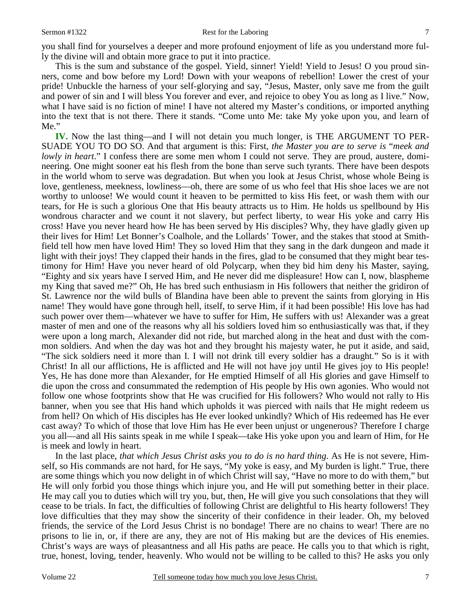you shall find for yourselves a deeper and more profound enjoyment of life as you understand more fully the divine will and obtain more grace to put it into practice.

 This is the sum and substance of the gospel. Yield, sinner! Yield! Yield to Jesus! O you proud sinners, come and bow before my Lord! Down with your weapons of rebellion! Lower the crest of your pride! Unbuckle the harness of your self-glorying and say, "Jesus, Master, only save me from the guilt and power of sin and I will bless You forever and ever, and rejoice to obey You as long as I live." Now, what I have said is no fiction of mine! I have not altered my Master's conditions, or imported anything into the text that is not there. There it stands. "Come unto Me: take My yoke upon you, and learn of Me."

**IV.** Now the last thing—and I will not detain you much longer, is THE ARGUMENT TO PER-SUADE YOU TO DO SO. And that argument is this: First, *the Master you are to serve is* "*meek and lowly in heart.*" I confess there are some men whom I could not serve. They are proud, austere, domineering. One might sooner eat his flesh from the bone than serve such tyrants. There have been despots in the world whom to serve was degradation. But when you look at Jesus Christ, whose whole Being is love, gentleness, meekness, lowliness—oh, there are some of us who feel that His shoe laces we are not worthy to unloose! We would count it heaven to be permitted to kiss His feet, or wash them with our tears, for He is such a glorious One that His beauty attracts us to Him. He holds us spellbound by His wondrous character and we count it not slavery, but perfect liberty, to wear His yoke and carry His cross! Have you never heard how He has been served by His disciples? Why, they have gladly given up their lives for Him! Let Bonner's Coalhole, and the Lollards' Tower, and the stakes that stood at Smithfield tell how men have loved Him! They so loved Him that they sang in the dark dungeon and made it light with their joys! They clapped their hands in the fires, glad to be consumed that they might bear testimony for Him! Have you never heard of old Polycarp, when they bid him deny his Master, saying, "Eighty and six years have I served Him, and He never did me displeasure! How can I, now, blaspheme my King that saved me?" Oh, He has bred such enthusiasm in His followers that neither the gridiron of St. Lawrence nor the wild bulls of Blandina have been able to prevent the saints from glorying in His name! They would have gone through hell, itself, to serve Him, if it had been possible! His love has had such power over them—whatever we have to suffer for Him, He suffers with us! Alexander was a great master of men and one of the reasons why all his soldiers loved him so enthusiastically was that, if they were upon a long march, Alexander did not ride, but marched along in the heat and dust with the common soldiers. And when the day was hot and they brought his majesty water, he put it aside, and said, "The sick soldiers need it more than I. I will not drink till every soldier has a draught." So is it with Christ! In all our afflictions, He is afflicted and He will not have joy until He gives joy to His people! Yes, He has done more than Alexander, for He emptied Himself of all His glories and gave Himself to die upon the cross and consummated the redemption of His people by His own agonies. Who would not follow one whose footprints show that He was crucified for His followers? Who would not rally to His banner, when you see that His hand which upholds it was pierced with nails that He might redeem us from hell? On which of His disciples has He ever looked unkindly? Which of His redeemed has He ever cast away? To which of those that love Him has He ever been unjust or ungenerous? Therefore I charge you all—and all His saints speak in me while I speak—take His yoke upon you and learn of Him, for He is meek and lowly in heart.

 In the last place, *that which Jesus Christ asks you to do is no hard thing*. As He is not severe, Himself, so His commands are not hard, for He says, "My yoke is easy, and My burden is light." True, there are some things which you now delight in of which Christ will say, "Have no more to do with them," but He will only forbid you those things which injure you, and He will put something better in their place. He may call you to duties which will try you, but, then, He will give you such consolations that they will cease to be trials. In fact, the difficulties of following Christ are delightful to His hearty followers! They love difficulties that they may show the sincerity of their confidence in their leader. Oh, my beloved friends, the service of the Lord Jesus Christ is no bondage! There are no chains to wear! There are no prisons to lie in, or, if there are any, they are not of His making but are the devices of His enemies. Christ's ways are ways of pleasantness and all His paths are peace. He calls you to that which is right, true, honest, loving, tender, heavenly. Who would not be willing to be called to this? He asks you only